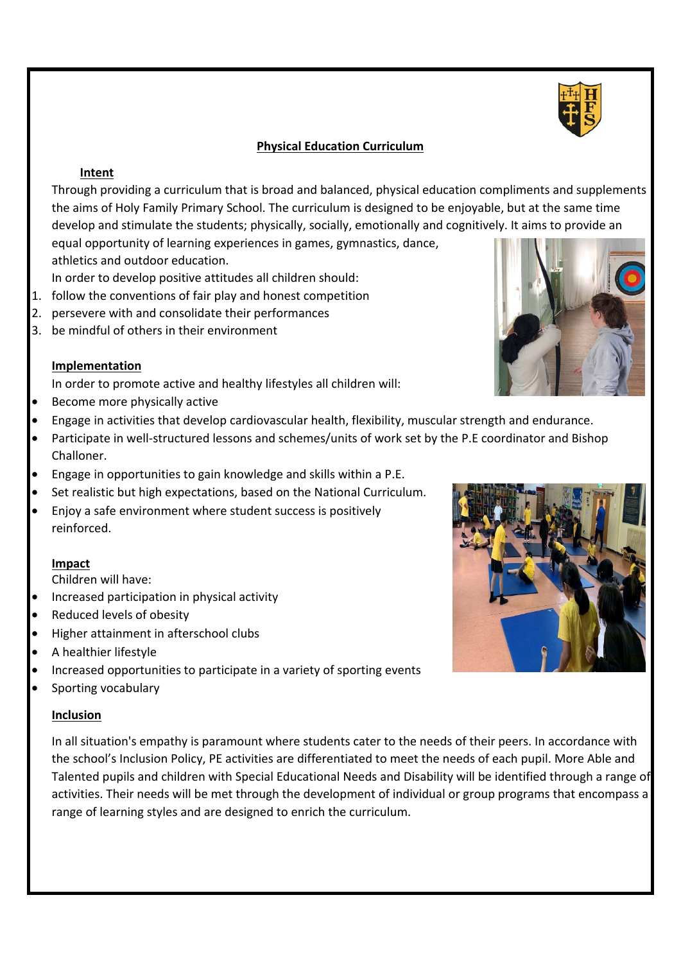# **Physical Education Curriculum**

## **Intent**

Through providing a curriculum that is broad and balanced, physical education compliments and supplements the aims of Holy Family Primary School. The curriculum is designed to be enjoyable, but at the same time develop and stimulate the students; physically, socially, emotionally and cognitively. It aims to provide an equal opportunity of learning experiences in games, gymnastics, dance,

athletics and outdoor education.

In order to develop positive attitudes all children should:

- 1. follow the conventions of fair play and honest competition
- 2. persevere with and consolidate their performances
- 3. be mindful of others in their environment

# **Implementation**

In order to promote active and healthy lifestyles all children will:

- Become more physically active
- Engage in activities that develop cardiovascular health, flexibility, muscular strength and endurance.
- Participate in well-structured lessons and schemes/units of work set by the P.E coordinator and Bishop Challoner.
- Engage in opportunities to gain knowledge and skills within a P.E.
- Set realistic but high expectations, based on the National Curriculum.
- Enjoy a safe environment where student success is positively reinforced.

# **Impact**

Children will have:

- Increased participation in physical activity
- Reduced levels of obesity
- Higher attainment in afterschool clubs
- A healthier lifestyle
- Increased opportunities to participate in a variety of sporting events
- Sporting vocabulary

# **Inclusion**

In all situation's empathy is paramount where students cater to the needs of their peers. In accordance with the school's Inclusion Policy, PE activities are differentiated to meet the needs of each pupil. More Able and Talented pupils and children with Special Educational Needs and Disability will be identified through a range of activities. Their needs will be met through the development of individual or group programs that encompass a range of learning styles and are designed to enrich the curriculum.